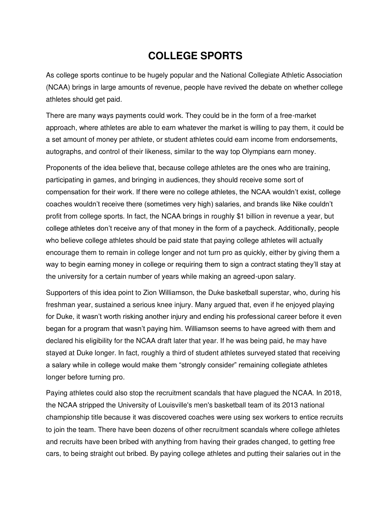## **COLLEGE SPORTS**

As college sports continue to be hugely popular and the National Collegiate Athletic Association (NCAA) brings in large amounts of revenue, people have revived the debate on whether college athletes should get paid.

There are many ways payments could work. They could be in the form of a free-market approach, where athletes are able to earn whatever the market is willing to pay them, it could be a set amount of money per athlete, or student athletes could earn income from endorsements, autographs, and control of their likeness, similar to the way top Olympians earn money.

Proponents of the idea believe that, because college athletes are the ones who are training, participating in games, and bringing in audiences, they should receive some sort of compensation for their work. If there were no college athletes, the NCAA wouldn't exist, college coaches wouldn't receive there (sometimes very high) salaries, and brands like Nike couldn't profit from college sports. In fact, the NCAA brings in roughly \$1 billion in revenue a year, but college athletes don't receive any of that money in the form of a paycheck. Additionally, people who believe college athletes should be paid state that paying college athletes will actually encourage them to remain in college longer and not turn pro as quickly, either by giving them a way to begin earning money in college or requiring them to sign a contract stating they'll stay at the university for a certain number of years while making an agreed-upon salary.

Supporters of this idea point to Zion Williamson, the Duke basketball superstar, who, during his freshman year, sustained a serious knee injury. Many argued that, even if he enjoyed playing for Duke, it wasn't worth risking another injury and ending his professional career before it even began for a program that wasn't paying him. Williamson seems to have agreed with them and declared his eligibility for the NCAA draft later that year. If he was being paid, he may have stayed at Duke longer. In fact, roughly a third of student athletes surveyed stated that receiving a salary while in college would make them "strongly consider" remaining collegiate athletes longer before turning pro.

Paying athletes could also stop the recruitment scandals that have plagued the NCAA. In 2018, the NCAA stripped the University of Louisville's men's basketball team of its 2013 national championship title because it was discovered coaches were using sex workers to entice recruits to join the team. There have been dozens of other recruitment scandals where college athletes and recruits have been bribed with anything from having their grades changed, to getting free cars, to being straight out bribed. By paying college athletes and putting their salaries out in the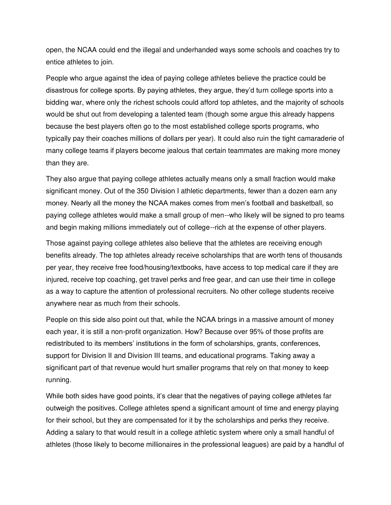open, the NCAA could end the illegal and underhanded ways some schools and coaches try to entice athletes to join.

People who argue against the idea of paying college athletes believe the practice could be disastrous for college sports. By paying athletes, they argue, they'd turn college sports into a bidding war, where only the richest schools could afford top athletes, and the majority of schools would be shut out from developing a talented team (though some argue this already happens because the best players often go to the most established college sports programs, who typically pay their coaches millions of dollars per year). It could also ruin the tight camaraderie of many college teams if players become jealous that certain teammates are making more money than they are.

They also argue that paying college athletes actually means only a small fraction would make significant money. Out of the 350 Division I athletic departments, fewer than a dozen earn any money. Nearly all the money the NCAA makes comes from men's football and basketball, so paying college athletes would make a small group of men--who likely will be signed to pro teams and begin making millions immediately out of college--rich at the expense of other players.

Those against paying college athletes also believe that the athletes are receiving enough benefits already. The top athletes already receive scholarships that are worth tens of thousands per year, they receive free food/housing/textbooks, have access to top medical care if they are injured, receive top coaching, get travel perks and free gear, and can use their time in college as a way to capture the attention of professional recruiters. No other college students receive anywhere near as much from their schools.

People on this side also point out that, while the NCAA brings in a massive amount of money each year, it is still a non-profit organization. How? Because over 95% of those profits are redistributed to its members' institutions in the form of scholarships, grants, conferences, support for Division II and Division III teams, and educational programs. Taking away a significant part of that revenue would hurt smaller programs that rely on that money to keep running.

While both sides have good points, it's clear that the negatives of paying college athletes far outweigh the positives. College athletes spend a significant amount of time and energy playing for their school, but they are compensated for it by the scholarships and perks they receive. Adding a salary to that would result in a college athletic system where only a small handful of athletes (those likely to become millionaires in the professional leagues) are paid by a handful of